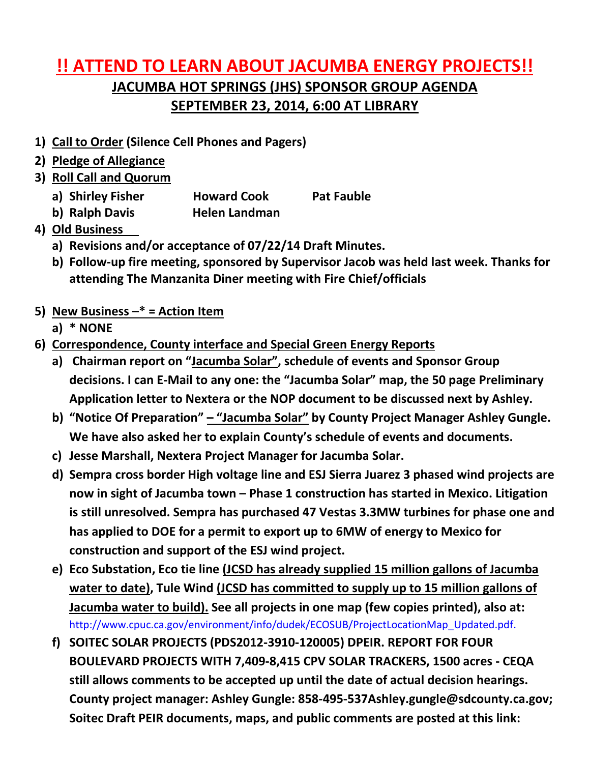## **!! ATTEND TO LEARN ABOUT JACUMBA ENERGY PROJECTS!! JACUMBA HOT SPRINGS (JHS) SPONSOR GROUP AGENDA SEPTEMBER 23, 2014, 6:00 AT LIBRARY**

- **1) Call to Order (Silence Cell Phones and Pagers)**
- **2) Pledge of Allegiance**
- **3) Roll Call and Quorum**
	- **a) Shirley Fisher Howard Cook Pat Fauble**
	- **b) Ralph Davis Helen Landman**
- **4) Old Business**
	- **a) Revisions and/or acceptance of 07/22/14 Draft Minutes.**
	- **b) Follow-up fire meeting, sponsored by Supervisor Jacob was held last week. Thanks for attending The Manzanita Diner meeting with Fire Chief/officials**
- **5) New Business –\* = Action Item** 
	- **a) \* NONE**
- **6) Correspondence, County interface and Special Green Energy Reports**
	- **a) Chairman report on "Jacumba Solar", schedule of events and Sponsor Group decisions. I can E-Mail to any one: the "Jacumba Solar" map, the 50 page Preliminary Application letter to Nextera or the NOP document to be discussed next by Ashley.**
	- **b) "Notice Of Preparation" – "Jacumba Solar" by County Project Manager Ashley Gungle. We have also asked her to explain County's schedule of events and documents.**
	- **c) Jesse Marshall, Nextera Project Manager for Jacumba Solar.**
	- **d) Sempra cross border High voltage line and ESJ Sierra Juarez 3 phased wind projects are now in sight of Jacumba town – Phase 1 construction has started in Mexico. Litigation is still unresolved. Sempra has purchased 47 Vestas 3.3MW turbines for phase one and has applied to DOE for a permit to export up to 6MW of energy to Mexico for construction and support of the ESJ wind project.**
	- **e) Eco Substation, Eco tie line (JCSD has already supplied 15 million gallons of Jacumba water to date), Tule Wind (JCSD has committed to supply up to 15 million gallons of Jacumba water to build). See all projects in one map (few copies printed), also at:**  http://www.cpuc.ca.gov/environment/info/dudek/ECOSUB/ProjectLocationMap\_Updated.pdf.
	- **f) SOITEC SOLAR PROJECTS (PDS2012-3910-120005) DPEIR. REPORT FOR FOUR BOULEVARD PROJECTS WITH 7,409-8,415 CPV SOLAR TRACKERS, 1500 acres - CEQA still allows comments to be accepted up until the date of actual decision hearings. County project manager: Ashley Gungle: 858-495-537Ashley.gungle@sdcounty.ca.gov; Soitec Draft PEIR documents, maps, and public comments are posted at this link:**